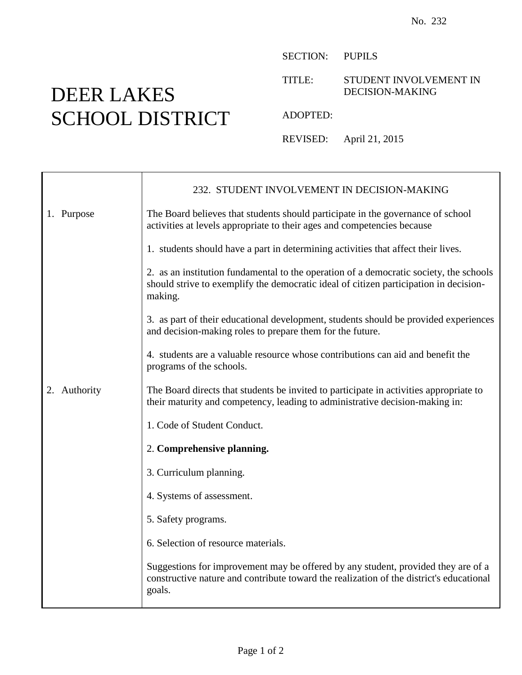## DEER LAKES SCHOOL DISTRICT

SECTION: PUPILS

TITLE: STUDENT INVOLVEMENT IN DECISION-MAKING

ADOPTED:

REVISED: April 21, 2015

|              | 232. STUDENT INVOLVEMENT IN DECISION-MAKING                                                                                                                                                |
|--------------|--------------------------------------------------------------------------------------------------------------------------------------------------------------------------------------------|
| 1. Purpose   | The Board believes that students should participate in the governance of school<br>activities at levels appropriate to their ages and competencies because                                 |
|              | 1. students should have a part in determining activities that affect their lives.                                                                                                          |
|              | 2. as an institution fundamental to the operation of a democratic society, the schools<br>should strive to exemplify the democratic ideal of citizen participation in decision-<br>making. |
|              | 3. as part of their educational development, students should be provided experiences<br>and decision-making roles to prepare them for the future.                                          |
|              | 4. students are a valuable resource whose contributions can aid and benefit the<br>programs of the schools.                                                                                |
| 2. Authority | The Board directs that students be invited to participate in activities appropriate to<br>their maturity and competency, leading to administrative decision-making in:                     |
|              | 1. Code of Student Conduct.                                                                                                                                                                |
|              | 2. Comprehensive planning.                                                                                                                                                                 |
|              | 3. Curriculum planning.                                                                                                                                                                    |
|              | 4. Systems of assessment.                                                                                                                                                                  |
|              | 5. Safety programs.                                                                                                                                                                        |
|              | 6. Selection of resource materials.                                                                                                                                                        |
|              | Suggestions for improvement may be offered by any student, provided they are of a<br>constructive nature and contribute toward the realization of the district's educational<br>goals.     |